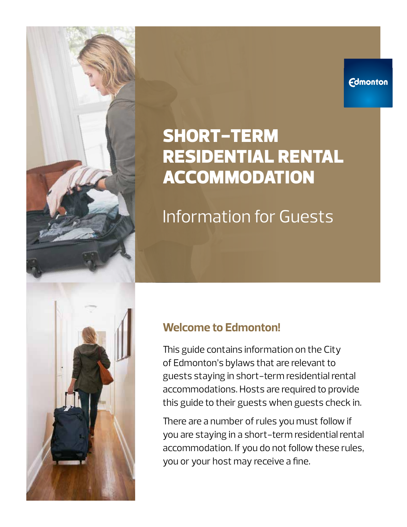#### **Edmonton**

# SHORT-TERM RESIDENTIAL RENTAL ACCOMMODATION

Information for Guests

### **Welcome to Edmonton!**

This guide contains information on the City of Edmonton's bylaws that are relevant to guests staying in short-term residential rental accommodations. Hosts are required to provide this guide to their guests when guests check in.

There are a number of rules you must follow if you are staying in a short-term residential rental accommodation. If you do not follow these rules, you or your host may receive a fine.